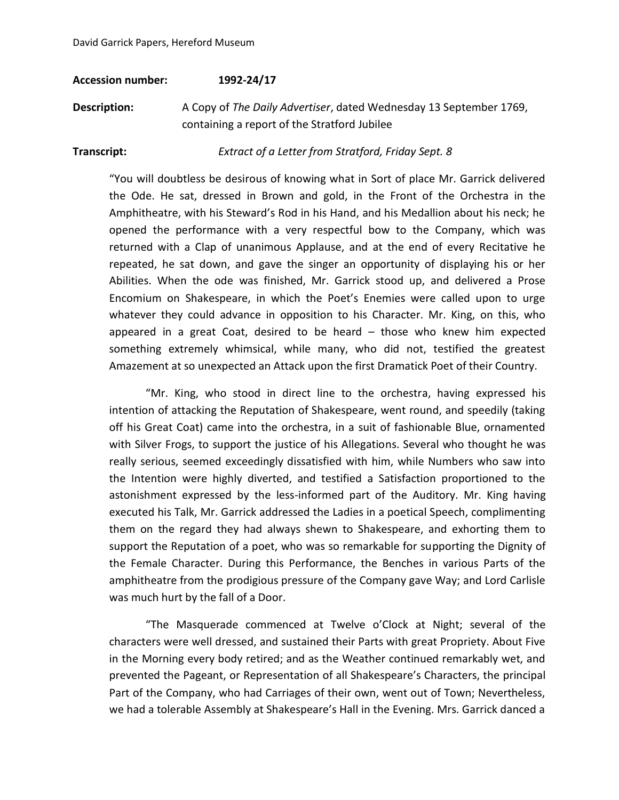#### **Accession number: 1992-24/17**

**Description:** A Copy of *The Daily Advertiser*, dated Wednesday 13 September 1769, containing a report of the Stratford Jubilee

**Transcript:** *Extract of a Letter from Stratford, Friday Sept. 8*

"You will doubtless be desirous of knowing what in Sort of place Mr. Garrick delivered the Ode. He sat, dressed in Brown and gold, in the Front of the Orchestra in the Amphitheatre, with his Steward's Rod in his Hand, and his Medallion about his neck; he opened the performance with a very respectful bow to the Company, which was returned with a Clap of unanimous Applause, and at the end of every Recitative he repeated, he sat down, and gave the singer an opportunity of displaying his or her Abilities. When the ode was finished, Mr. Garrick stood up, and delivered a Prose Encomium on Shakespeare, in which the Poet's Enemies were called upon to urge whatever they could advance in opposition to his Character. Mr. King, on this, who appeared in a great Coat, desired to be heard – those who knew him expected something extremely whimsical, while many, who did not, testified the greatest Amazement at so unexpected an Attack upon the first Dramatick Poet of their Country.

"Mr. King, who stood in direct line to the orchestra, having expressed his intention of attacking the Reputation of Shakespeare, went round, and speedily (taking off his Great Coat) came into the orchestra, in a suit of fashionable Blue, ornamented with Silver Frogs, to support the justice of his Allegations. Several who thought he was really serious, seemed exceedingly dissatisfied with him, while Numbers who saw into the Intention were highly diverted, and testified a Satisfaction proportioned to the astonishment expressed by the less-informed part of the Auditory. Mr. King having executed his Talk, Mr. Garrick addressed the Ladies in a poetical Speech, complimenting them on the regard they had always shewn to Shakespeare, and exhorting them to support the Reputation of a poet, who was so remarkable for supporting the Dignity of the Female Character. During this Performance, the Benches in various Parts of the amphitheatre from the prodigious pressure of the Company gave Way; and Lord Carlisle was much hurt by the fall of a Door.

"The Masquerade commenced at Twelve o'Clock at Night; several of the characters were well dressed, and sustained their Parts with great Propriety. About Five in the Morning every body retired; and as the Weather continued remarkably wet, and prevented the Pageant, or Representation of all Shakespeare's Characters, the principal Part of the Company, who had Carriages of their own, went out of Town; Nevertheless, we had a tolerable Assembly at Shakespeare's Hall in the Evening. Mrs. Garrick danced a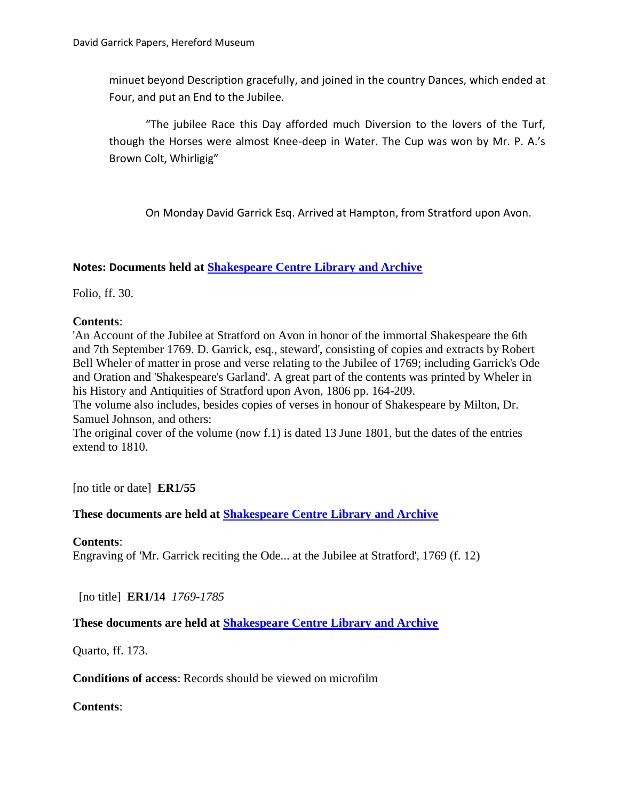minuet beyond Description gracefully, and joined in the country Dances, which ended at Four, and put an End to the Jubilee.

"The jubilee Race this Day afforded much Diversion to the lovers of the Turf, though the Horses were almost Knee-deep in Water. The Cup was won by Mr. P. A.'s Brown Colt, Whirligig"

On Monday David Garrick Esq. Arrived at Hampton, from Stratford upon Avon.

### **Notes: Documents held at [Shakespeare Centre Library and Archive](http://www.nationalarchives.gov.uk/archon/searches/locresult_details.asp?LR=188)**

Folio, ff. 30.

### **Contents**:

'An Account of the Jubilee at Stratford on Avon in honor of the immortal Shakespeare the 6th and 7th September 1769. D. Garrick, esq., steward', consisting of copies and extracts by Robert Bell Wheler of matter in prose and verse relating to the Jubilee of 1769; including Garrick's Ode and Oration and 'Shakespeare's Garland'. A great part of the contents was printed by Wheler in his History and Antiquities of Stratford upon Avon, 1806 pp. 164-209.

The volume also includes, besides copies of verses in honour of Shakespeare by Milton, Dr. Samuel Johnson, and others:

The original cover of the volume (now f.1) is dated 13 June 1801, but the dates of the entries extend to 1810.

[no title or date] **ER1/55**

# **These documents are held at [Shakespeare Centre Library and Archive](http://www.nationalarchives.gov.uk/archon/searches/locresult_details.asp?LR=188)**

### **Contents**:

Engraving of 'Mr. Garrick reciting the Ode... at the Jubilee at Stratford', 1769 (f. 12)

[no title] **ER1/14** *1769-1785*

# **These documents are held at [Shakespeare Centre Library and Archive](http://www.nationalarchives.gov.uk/archon/searches/locresult_details.asp?LR=188)**

Quarto, ff. 173.

**Conditions of access**: Records should be viewed on microfilm

**Contents**: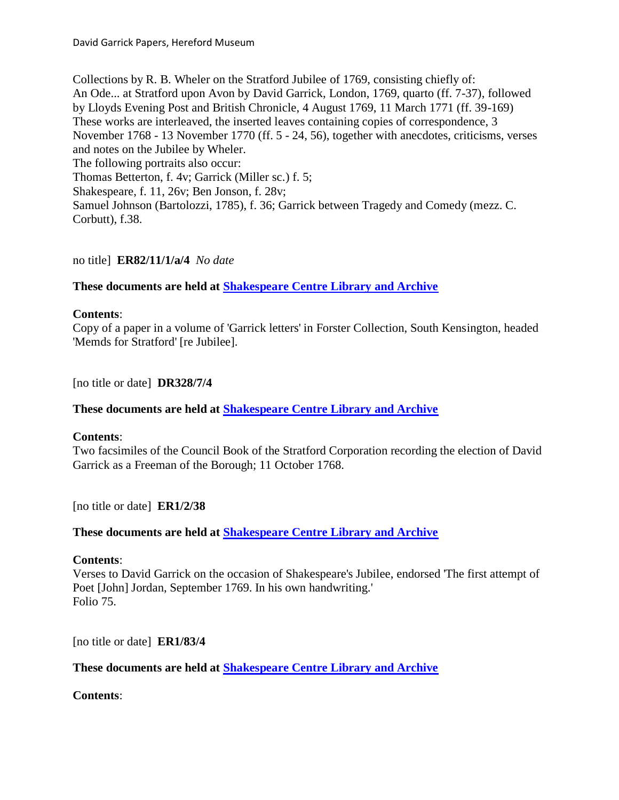Collections by R. B. Wheler on the Stratford Jubilee of 1769, consisting chiefly of: An Ode... at Stratford upon Avon by David Garrick, London, 1769, quarto (ff. 7-37), followed by Lloyds Evening Post and British Chronicle, 4 August 1769, 11 March 1771 (ff. 39-169) These works are interleaved, the inserted leaves containing copies of correspondence, 3 November 1768 - 13 November 1770 (ff. 5 - 24, 56), together with anecdotes, criticisms, verses and notes on the Jubilee by Wheler. The following portraits also occur: Thomas Betterton, f. 4v; Garrick (Miller sc.) f. 5; Shakespeare, f. 11, 26v; Ben Jonson, f. 28v; Samuel Johnson (Bartolozzi, 1785), f. 36; Garrick between Tragedy and Comedy (mezz. C. Corbutt), f.38.

no title] **ER82/11/1/a/4** *No date*

# **These documents are held at [Shakespeare Centre Library and Archive](http://www.nationalarchives.gov.uk/archon/searches/locresult_details.asp?LR=188)**

### **Contents**:

Copy of a paper in a volume of 'Garrick letters' in Forster Collection, South Kensington, headed 'Memds for Stratford' [re Jubilee].

[no title or date] **DR328/7/4**

**These documents are held at [Shakespeare Centre Library and Archive](http://www.nationalarchives.gov.uk/archon/searches/locresult_details.asp?LR=188)**

### **Contents**:

Two facsimiles of the Council Book of the Stratford Corporation recording the election of David Garrick as a Freeman of the Borough; 11 October 1768.

[no title or date] **ER1/2/38**

# **These documents are held at [Shakespeare Centre Library and Archive](http://www.nationalarchives.gov.uk/archon/searches/locresult_details.asp?LR=188)**

### **Contents**:

Verses to David Garrick on the occasion of Shakespeare's Jubilee, endorsed 'The first attempt of Poet [John] Jordan, September 1769. In his own handwriting.' Folio 75.

[no title or date] **ER1/83/4**

**These documents are held at [Shakespeare Centre Library and Archive](http://www.nationalarchives.gov.uk/archon/searches/locresult_details.asp?LR=188)**

**Contents**: